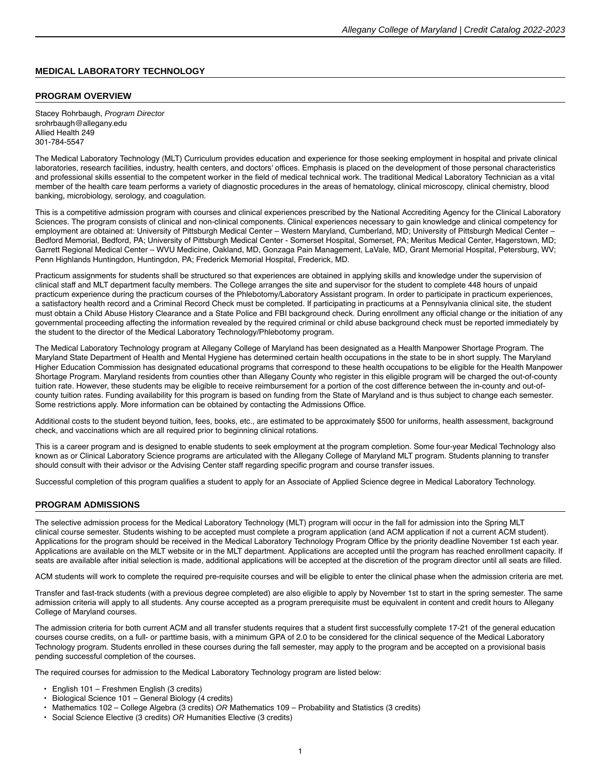## **MEDICAL LABORATORY TECHNOLOGY**

## **PROGRAM OVERVIEW**

Stacey Rohrbaugh, Program Director srohrbaugh@allegany.edu Allied Health 249 301-784-5547

The Medical Laboratory Technology (MLT) Curriculum provides education and experience for those seeking employment in hospital and private clinical laboratories, research facilities, industry, health centers, and doctors' offices. Emphasis is placed on the development of those personal characteristics and professional skills essential to the competent worker in the field of medical technical work. The traditional Medical Laboratory Technician as a vital member of the health care team performs a variety of diagnostic procedures in the areas of hematology, clinical microscopy, clinical chemistry, blood banking, microbiology, serology, and coagulation.

This is a competitive admission program with courses and clinical experiences prescribed by the National Accrediting Agency for the Clinical Laboratory Sciences. The program consists of clinical and non-clinical components. Clinical experiences necessary to gain knowledge and clinical competency for employment are obtained at: University of Pittsburgh Medical Center – Western Maryland, Cumberland, MD; University of Pittsburgh Medical Center – Bedford Memorial, Bedford, PA; University of Pittsburgh Medical Center - Somerset Hospital, Somerset, PA; Meritus Medical Center, Hagerstown, MD; Garrett Regional Medical Center – WVU Medicine, Oakland, MD, Gonzaga Pain Management, LaVale, MD, Grant Memorial Hospital, Petersburg, WV; Penn Highlands Huntingdon, Huntingdon, PA; Frederick Memorial Hospital, Frederick, MD.

Practicum assignments for students shall be structured so that experiences are obtained in applying skills and knowledge under the supervision of clinical staff and MLT department faculty members. The College arranges the site and supervisor for the student to complete 448 hours of unpaid practicum experience during the practicum courses of the Phlebotomy/Laboratory Assistant program. In order to participate in practicum experiences, a satisfactory health record and a Criminal Record Check must be completed. If participating in practicums at a Pennsylvania clinical site, the student must obtain a Child Abuse History Clearance and a State Police and FBI background check. During enrollment any official change or the initiation of any governmental proceeding affecting the information revealed by the required criminal or child abuse background check must be reported immediately by the student to the director of the Medical Laboratory Technology/Phlebotomy program.

The Medical Laboratory Technology program at Allegany College of Maryland has been designated as a Health Manpower Shortage Program. The Maryland State Department of Health and Mental Hygiene has determined certain health occupations in the state to be in short supply. The Maryland Higher Education Commission has designated educational programs that correspond to these health occupations to be eligible for the Health Manpower Shortage Program. Maryland residents from counties other than Allegany County who register in this eligible program will be charged the out-of-county tuition rate. However, these students may be eligible to receive reimbursement for a portion of the cost difference between the in-county and out-ofcounty tuition rates. Funding availability for this program is based on funding from the State of Maryland and is thus subject to change each semester. Some restrictions apply. More information can be obtained by contacting the Admissions Office.

Additional costs to the student beyond tuition, fees, books, etc., are estimated to be approximately \$500 for uniforms, health assessment, background check, and vaccinations which are all required prior to beginning clinical rotations.

This is a career program and is designed to enable students to seek employment at the program completion. Some four-year Medical Technology also known as or Clinical Laboratory Science programs are articulated with the Allegany College of Maryland MLT program. Students planning to transfer should consult with their advisor or the Advising Center staff regarding specific program and course transfer issues.

Successful completion of this program qualifies a student to apply for an Associate of Applied Science degree in Medical Laboratory Technology.

#### **PROGRAM ADMISSIONS**

The selective admission process for the Medical Laboratory Technology (MLT) program will occur in the fall for admission into the Spring MLT clinical course semester. Students wishing to be accepted must complete a program application (and ACM application if not a current ACM student). Applications for the program should be received in the Medical Laboratory Technology Program Office by the priority deadline November 1st each year. Applications are available on the MLT website or in the MLT department. Applications are accepted until the program has reached enrollment capacity. If seats are available after initial selection is made, additional applications will be accepted at the discretion of the program director until all seats are filled.

ACM students will work to complete the required pre-requisite courses and will be eligible to enter the clinical phase when the admission criteria are met.

Transfer and fast-track students (with a previous degree completed) are also eligible to apply by November 1st to start in the spring semester. The same admission criteria will apply to all students. Any course accepted as a program prerequisite must be equivalent in content and credit hours to Allegany College of Maryland courses.

The admission criteria for both current ACM and all transfer students requires that a student first successfully complete 17-21 of the general education courses course credits, on a full- or parttime basis, with a minimum GPA of 2.0 to be considered for the clinical sequence of the Medical Laboratory Technology program. Students enrolled in these courses during the fall semester, may apply to the program and be accepted on a provisional basis pending successful completion of the courses.

The required courses for admission to the Medical Laboratory Technology program are listed below:

- English 101 Freshmen English (3 credits)
- Biological Science 101 General Biology (4 credits)
- Mathematics 102 College Algebra (3 credits) OR Mathematics 109 Probability and Statistics (3 credits)
- Social Science Elective (3 credits) OR Humanities Elective (3 credits)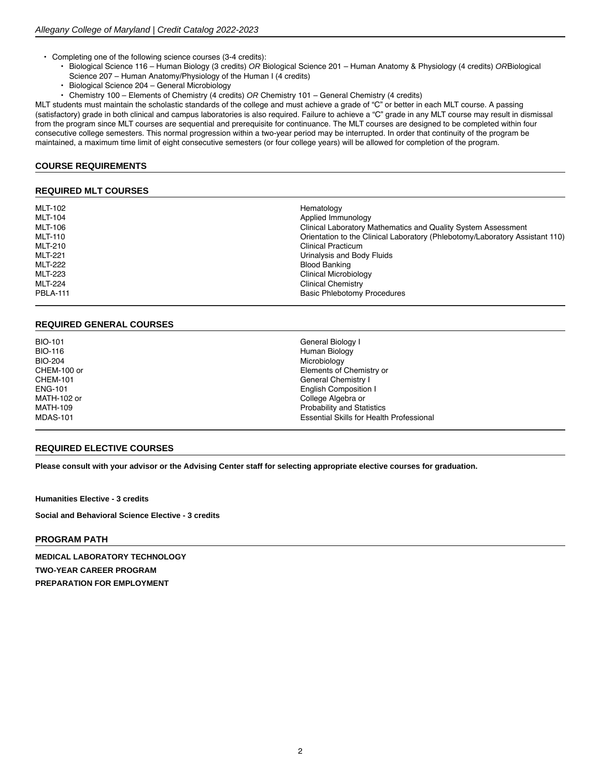- Completing one of the following science courses (3-4 credits):
	- Biological Science 116 Human Biology (3 credits) OR Biological Science 201 Human Anatomy & Physiology (4 credits) ORBiological
	- Science 207 Human Anatomy/Physiology of the Human I (4 credits)
	- Biological Science 204 General Microbiology
	- Chemistry 100 Elements of Chemistry (4 credits) OR Chemistry 101 General Chemistry (4 credits)

MLT students must maintain the scholastic standards of the college and must achieve a grade of "C" or better in each MLT course. A passing (satisfactory) grade in both clinical and campus laboratories is also required. Failure to achieve a "C" grade in any MLT course may result in dismissal from the program since MLT courses are sequential and prerequisite for continuance. The MLT courses are designed to be completed within four consecutive college semesters. This normal progression within a two-year period may be interrupted. In order that continuity of the program be maintained, a maximum time limit of eight consecutive semesters (or four college years) will be allowed for completion of the program.

## **COURSE REQUIREMENTS**

#### **REQUIRED MLT COURSES**

| <b>MLT-102</b><br><b>MLT-104</b> | Hematology<br>Applied Immunology                                             |
|----------------------------------|------------------------------------------------------------------------------|
| MLT-106                          | Clinical Laboratory Mathematics and Quality System Assessment                |
| <b>MLT-110</b>                   | Orientation to the Clinical Laboratory (Phlebotomy/Laboratory Assistant 110) |
| MLT-210                          | Clinical Practicum                                                           |
| <b>MLT-221</b>                   | Urinalysis and Body Fluids                                                   |
| MLT-222                          | <b>Blood Banking</b>                                                         |
| MLT-223                          | Clinical Microbiology                                                        |
| <b>MLT-224</b>                   | <b>Clinical Chemistry</b>                                                    |
| <b>PBLA-111</b>                  | <b>Basic Phlebotomy Procedures</b>                                           |

## **REQUIRED GENERAL COURSES**

| <b>BIO-101</b>  | General Biology I                               |
|-----------------|-------------------------------------------------|
| <b>BIO-116</b>  | Human Biology                                   |
| <b>BIO-204</b>  | Microbiology                                    |
| CHEM-100 or     | Elements of Chemistry or                        |
| <b>CHEM-101</b> | General Chemistry I                             |
| <b>ENG-101</b>  | <b>English Composition I</b>                    |
| MATH-102 or     | College Algebra or                              |
| <b>MATH-109</b> | <b>Probability and Statistics</b>               |
| <b>MDAS-101</b> | <b>Essential Skills for Health Professional</b> |

## **REQUIRED ELECTIVE COURSES**

**Please consult with your advisor or the Advising Center staff for selecting appropriate [elective courses](https://catalog.allegany.edu/current/degrees-and-programs/academic-information.html#electives) for graduation.**

**Humanities Elective - 3 credits**

**Social and Behavioral Science Elective - 3 credits**

## **PROGRAM PATH**

**MEDICAL LABORATORY TECHNOLOGY TWO-YEAR CAREER PROGRAM PREPARATION FOR EMPLOYMENT**